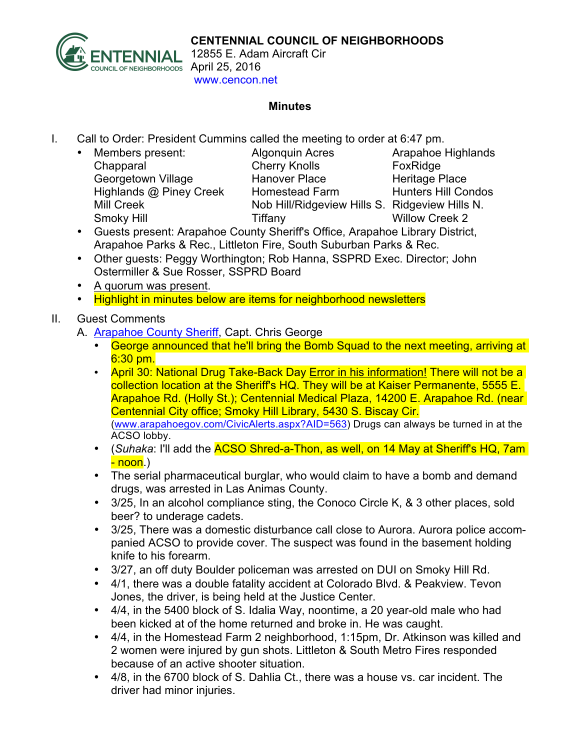

12855 E. Adam Aircraft Cir www.cencon.net

## **Minutes**

- I. Call to Order: President Cummins called the meeting to order at 6:47 pm.
	- Members present: Algonquin Acres Arapahoe Highlands Chapparal Cherry Knolls FoxRidge Georgetown Village **Hanover Place** Heritage Place Highlands @ Piney Creek Homestead Farm Hunters Hill Condos

- Mill Creek Nob Hill/Ridgeview Hills S. Ridgeview Hills N. Smoky Hill **Tiffany** Tiffany Willow Creek 2
- Guests present: Arapahoe County Sheriff's Office, Arapahoe Library District, Arapahoe Parks & Rec., Littleton Fire, South Suburban Parks & Rec.
- Other guests: Peggy Worthington; Rob Hanna, SSPRD Exec. Director; John Ostermiller & Sue Rosser, SSPRD Board
- A quorum was present.
- Highlight in minutes below are items for neighborhood newsletters

## II. Guest Comments

- A. [Arapahoe](http://www.arapahoesheriff.org) County Sheriff, Capt. Chris George
	- George announced that he'll bring the Bomb Squad to the next meeting, arriving at 6:30 pm.
	- April 30: National Drug Take-Back Day Error in his information! There will not be a collection location at the Sheriff's HQ. They will be at Kaiser Permanente, 5555 E. Arapahoe Rd. (Holly St.); Centennial Medical Plaza, 14200 E. Arapahoe Rd. (near Centennial City office; Smoky Hill Library, 5430 S. Biscay Cir. (www.arapahoegov.com/CivicAlerts.aspx?AID=563) Drugs can always be turned in at the ACSO lobby.
	- (*Suhaka*: I'll add the ACSO Shred-a-Thon, as well, on 14 May at Sheriff's HQ, 7am <mark>- noon</mark>.)
	- The serial pharmaceutical burglar, who would claim to have a bomb and demand drugs, was arrested in Las Animas County.
	- 3/25, In an alcohol compliance sting, the Conoco Circle K, & 3 other places, sold beer? to underage cadets.
	- 3/25, There was a domestic disturbance call close to Aurora. Aurora police accompanied ACSO to provide cover. The suspect was found in the basement holding knife to his forearm.
	- 3/27, an off duty Boulder policeman was arrested on DUI on Smoky Hill Rd.
	- 4/1, there was a double fatality accident at Colorado Blvd. & Peakview. Tevon Jones, the driver, is being held at the Justice Center.
	- 4/4, in the 5400 block of S. Idalia Way, noontime, a 20 year-old male who had been kicked at of the home returned and broke in. He was caught.
	- 4/4, in the Homestead Farm 2 neighborhood, 1:15pm, Dr. Atkinson was killed and 2 women were injured by gun shots. Littleton & South Metro Fires responded because of an active shooter situation.
	- 4/8, in the 6700 block of S. Dahlia Ct., there was a house vs. car incident. The driver had minor injuries.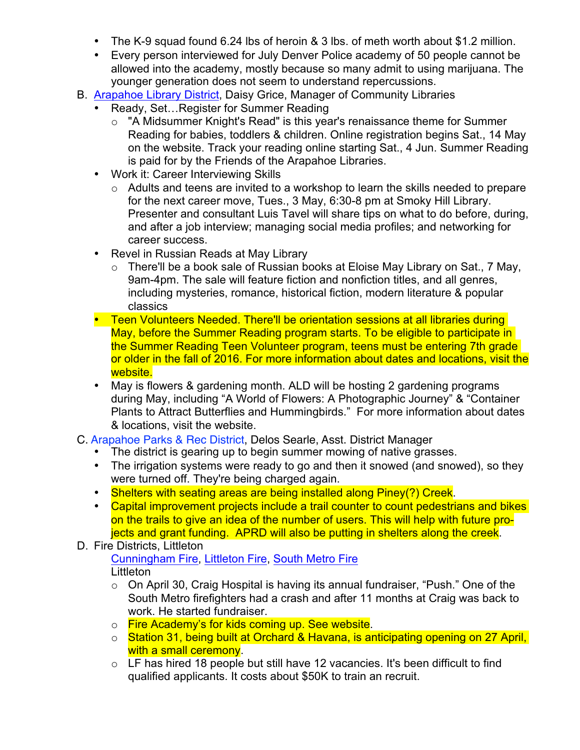- The K-9 squad found 6.24 lbs of heroin & 3 lbs. of meth worth about \$1.2 million.
- Every person interviewed for July Denver Police academy of 50 people cannot be allowed into the academy, mostly because so many admit to using marijuana. The younger generation does not seem to understand repercussions.
- B. [Arapahoe](http://www.arapahoelibraries.org/) Library District, Daisy Grice, Manager of Community Libraries
	- Ready, Set... Register for Summer Reading
		- o "A Midsummer Knight's Read" is this year's renaissance theme for Summer Reading for babies, toddlers & children. Online registration begins Sat., 14 May on the website. Track your reading online starting Sat., 4 Jun. Summer Reading is paid for by the Friends of the Arapahoe Libraries.
	- Work it: Career Interviewing Skills
		- o Adults and teens are invited to a workshop to learn the skills needed to prepare for the next career move, Tues., 3 May, 6:30-8 pm at Smoky Hill Library. Presenter and consultant Luis Tavel will share tips on what to do before, during, and after a job interview; managing social media profiles; and networking for career success.
	- Revel in Russian Reads at May Library
		- o There'll be a book sale of Russian books at Eloise May Library on Sat., 7 May, 9am-4pm. The sale will feature fiction and nonfiction titles, and all genres, including mysteries, romance, historical fiction, modern literature & popular classics
	- Teen Volunteers Needed. There'll be orientation sessions at all libraries during May, before the Summer Reading program starts. To be eligible to participate in the Summer Reading Teen Volunteer program, teens must be entering 7th grade or older in the fall of 2016. For more information about dates and locations, visit the website.
	- May is flowers & gardening month. ALD will be hosting 2 gardening programs during May, including "A World of Flowers: A Photographic Journey" & "Container Plants to Attract Butterflies and Hummingbirds." For more information about dates & locations, visit the website.
- C. [Arapahoe](http://www.aprd.org) Parks & Rec District, Delos Searle, Asst. District Manager
	- The district is gearing up to begin summer mowing of native grasses.
	- The irrigation systems were ready to go and then it snowed (and snowed), so they were turned off. They're being charged again.
	- Shelters with seating areas are being installed along Piney(?) Creek.
	- Capital improvement projects include a trail counter to count pedestrians and bikes on the trails to give an idea of the number of users. This will help with future projects and grant funding. APRD will also be putting in shelters along the creek.
- D. Fire Districts, Littleton

[Cunningham](http://www.cfpd.org) Fire, [Littleton](http://www.littletongov.org/fire) Fire, [South](http://www.southmetro.org) Metro Fire **Littleton** 

- o On April 30, Craig Hospital is having its annual fundraiser, "Push." One of the South Metro firefighters had a crash and after 11 months at Craig was back to work. He started fundraiser.
- o Fire Academy's for kids coming up. See website.
- o Station 31, being built at Orchard & Havana, is anticipating opening on 27 April, with a small ceremony.
- o LF has hired 18 people but still have 12 vacancies. It's been difficult to find qualified applicants. It costs about \$50K to train an recruit.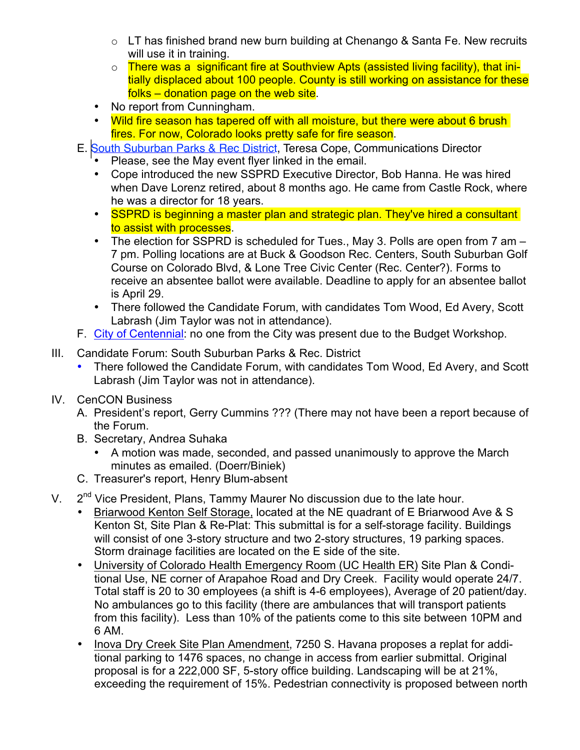- $\circ$  LT has finished brand new burn building at Chenango & Santa Fe. New recruits will use it in training.
- $\circ$  There was a significant fire at Southview Apts (assisted living facility), that initially displaced about 100 people. County is still working on assistance for these folks – donation page on the web site.
- No report from Cunningham.
- Wild fire season has tapered off with all moisture, but there were about 6 brush fires. For now, Colorado looks pretty safe for fire season.
- E. South [Suburban](http://www.SSPR.org) Parks & Rec District, Teresa Cope, Communications Director
	- Please, see the May event flyer linked in the email.
	- Cope introduced the new SSPRD Executive Director, Bob Hanna. He was hired when Dave Lorenz retired, about 8 months ago. He came from Castle Rock, where he was a director for 18 years.
	- SSPRD is beginning a master plan and strategic plan. They've hired a consultant to assist with processes.
	- The election for SSPRD is scheduled for Tues., May 3. Polls are open from 7 am 7 pm. Polling locations are at Buck & Goodson Rec. Centers, South Suburban Golf Course on Colorado Blvd, & Lone Tree Civic Center (Rec. Center?). Forms to receive an absentee ballot were available. Deadline to apply for an absentee ballot is April 29.
	- There followed the Candidate Forum, with candidates Tom Wood, Ed Avery, Scott Labrash (Jim Taylor was not in attendance).
- F. City of [Centennial:](http://www.centennialco.gov) no one from the City was present due to the Budget Workshop.
- III. Candidate Forum: South Suburban Parks & Rec. District
	- There followed the Candidate Forum, with candidates Tom Wood, Ed Avery, and Scott Labrash (Jim Taylor was not in attendance).
- IV. CenCON Business
	- A. President's report, Gerry Cummins ??? (There may not have been a report because of the Forum.
	- B. Secretary, Andrea Suhaka
		- A motion was made, seconded, and passed unanimously to approve the March minutes as emailed. (Doerr/Biniek)
	- C. Treasurer's report, Henry Blum-absent
- V. 2<sup>nd</sup> Vice President, Plans, Tammy Maurer No discussion due to the late hour.
	- Briarwood Kenton Self Storage, located at the NE quadrant of E Briarwood Ave & S Kenton St, Site Plan & Re-Plat: This submittal is for a self-storage facility. Buildings will consist of one 3-story structure and two 2-story structures, 19 parking spaces. Storm drainage facilities are located on the E side of the site.
	- University of Colorado Health Emergency Room (UC Health ER) Site Plan & Conditional Use, NE corner of Arapahoe Road and Dry Creek. Facility would operate 24/7. Total staff is 20 to 30 employees (a shift is 4-6 employees), Average of 20 patient/day. No ambulances go to this facility (there are ambulances that will transport patients from this facility). Less than 10% of the patients come to this site between 10PM and 6 AM.
	- Inova Dry Creek Site Plan Amendment, 7250 S. Havana proposes a replat for additional parking to 1476 spaces, no change in access from earlier submittal. Original proposal is for a 222,000 SF, 5-story office building. Landscaping will be at 21%, exceeding the requirement of 15%. Pedestrian connectivity is proposed between north